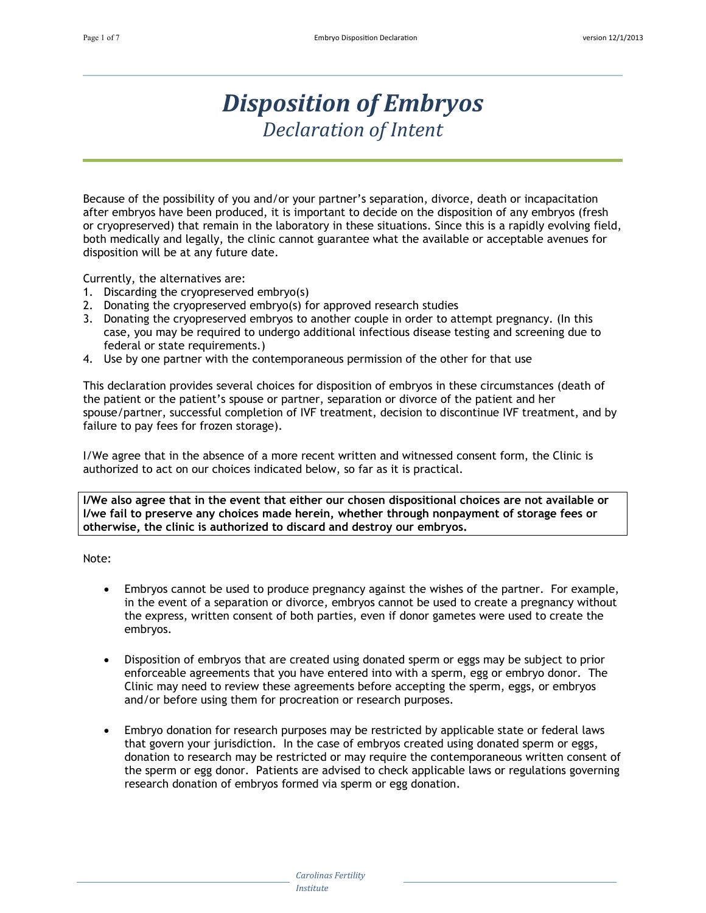# *Disposition of Embryos Declaration of Intent*

Because of the possibility of you and/or your partner's separation, divorce, death or incapacitation after embryos have been produced, it is important to decide on the disposition of any embryos (fresh or cryopreserved) that remain in the laboratory in these situations. Since this is a rapidly evolving field, both medically and legally, the clinic cannot guarantee what the available or acceptable avenues for disposition will be at any future date.

Currently, the alternatives are:

- 1. Discarding the cryopreserved embryo(s)
- 2. Donating the cryopreserved embryo(s) for approved research studies
- 3. Donating the cryopreserved embryos to another couple in order to attempt pregnancy. (In this case, you may be required to undergo additional infectious disease testing and screening due to federal or state requirements.)
- 4. Use by one partner with the contemporaneous permission of the other for that use

This declaration provides several choices for disposition of embryos in these circumstances (death of the patient or the patient's spouse or partner, separation or divorce of the patient and her spouse/partner, successful completion of IVF treatment, decision to discontinue IVF treatment, and by failure to pay fees for frozen storage).

I/We agree that in the absence of a more recent written and witnessed consent form, the Clinic is authorized to act on our choices indicated below, so far as it is practical.

**I/We also agree that in the event that either our chosen dispositional choices are not available or I/we fail to preserve any choices made herein, whether through nonpayment of storage fees or otherwise, the clinic is authorized to discard and destroy our embryos.**

Note:

- Embryos cannot be used to produce pregnancy against the wishes of the partner. For example, in the event of a separation or divorce, embryos cannot be used to create a pregnancy without the express, written consent of both parties, even if donor gametes were used to create the embryos.
- Disposition of embryos that are created using donated sperm or eggs may be subject to prior enforceable agreements that you have entered into with a sperm, egg or embryo donor. The Clinic may need to review these agreements before accepting the sperm, eggs, or embryos and/or before using them for procreation or research purposes.
- Embryo donation for research purposes may be restricted by applicable state or federal laws that govern your jurisdiction. In the case of embryos created using donated sperm or eggs, donation to research may be restricted or may require the contemporaneous written consent of the sperm or egg donor. Patients are advised to check applicable laws or regulations governing research donation of embryos formed via sperm or egg donation.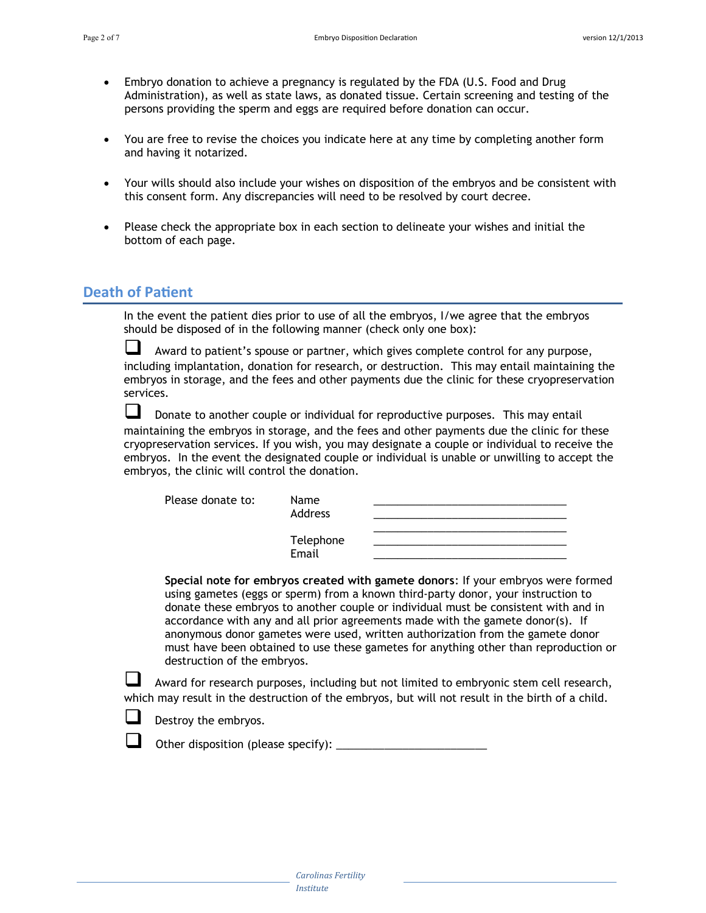- Embryo donation to achieve a pregnancy is regulated by the FDA (U.S. Food and Drug Administration), as well as state laws, as donated tissue. Certain screening and testing of the persons providing the sperm and eggs are required before donation can occur.
- You are free to revise the choices you indicate here at any time by completing another form and having it notarized.
- Your wills should also include your wishes on disposition of the embryos and be consistent with this consent form. Any discrepancies will need to be resolved by court decree.
- Please check the appropriate box in each section to delineate your wishes and initial the bottom of each page.

### **Death of Patient**

In the event the patient dies prior to use of all the embryos, I/we agree that the embryos should be disposed of in the following manner (check only one box):

 Award to patient's spouse or partner, which gives complete control for any purpose, including implantation, donation for research, or destruction. This may entail maintaining the embryos in storage, and the fees and other payments due the clinic for these cryopreservation services.

 Donate to another couple or individual for reproductive purposes. This may entail maintaining the embryos in storage, and the fees and other payments due the clinic for these cryopreservation services. If you wish, you may designate a couple or individual to receive the embryos. In the event the designated couple or individual is unable or unwilling to accept the embryos, the clinic will control the donation.

| Please donate to: | Name<br>Address    |  |
|-------------------|--------------------|--|
|                   | Telephone<br>Email |  |

**Special note for embryos created with gamete donors**: If your embryos were formed using gametes (eggs or sperm) from a known third-party donor, your instruction to donate these embryos to another couple or individual must be consistent with and in accordance with any and all prior agreements made with the gamete donor(s). If anonymous donor gametes were used, written authorization from the gamete donor must have been obtained to use these gametes for anything other than reproduction or destruction of the embryos.

 Award for research purposes, including but not limited to embryonic stem cell research, which may result in the destruction of the embryos, but will not result in the birth of a child.

Destroy the embryos.

 $\Box$  Other disposition (please specify):  $\Box$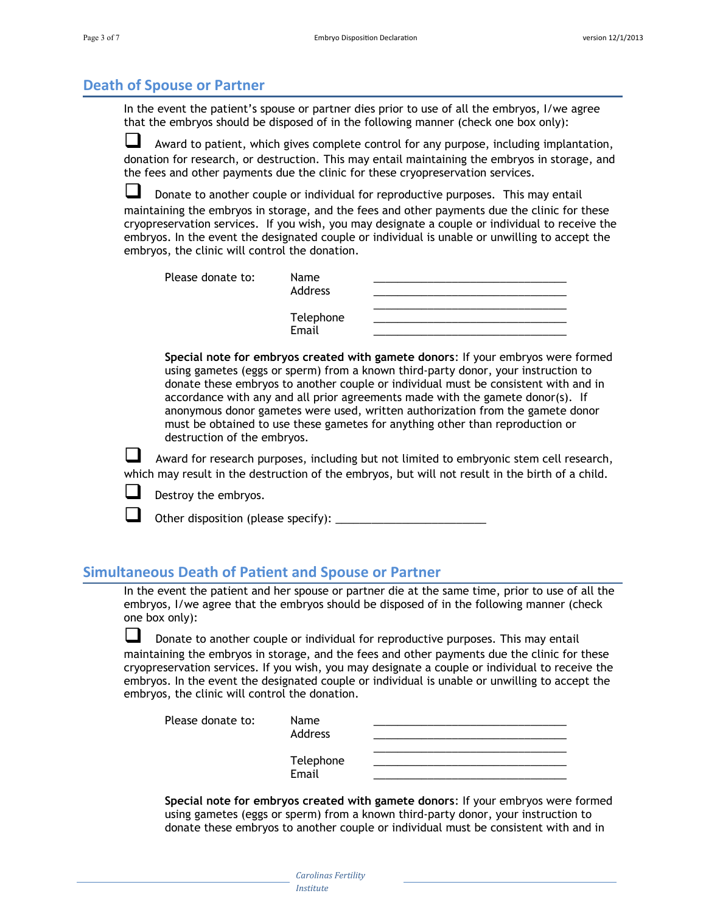### **Death of Spouse or Partner**

In the event the patient's spouse or partner dies prior to use of all the embryos, I/we agree that the embryos should be disposed of in the following manner (check one box only):

 Award to patient, which gives complete control for any purpose, including implantation, donation for research, or destruction. This may entail maintaining the embryos in storage, and the fees and other payments due the clinic for these cryopreservation services.

 Donate to another couple or individual for reproductive purposes. This may entail maintaining the embryos in storage, and the fees and other payments due the clinic for these cryopreservation services. If you wish, you may designate a couple or individual to receive the embryos. In the event the designated couple or individual is unable or unwilling to accept the embryos, the clinic will control the donation.

| Please donate to: | Name<br>Address    |  |
|-------------------|--------------------|--|
|                   | Telephone<br>Email |  |

**Special note for embryos created with gamete donors**: If your embryos were formed using gametes (eggs or sperm) from a known third-party donor, your instruction to donate these embryos to another couple or individual must be consistent with and in accordance with any and all prior agreements made with the gamete donor(s). If anonymous donor gametes were used, written authorization from the gamete donor must be obtained to use these gametes for anything other than reproduction or destruction of the embryos.

 Award for research purposes, including but not limited to embryonic stem cell research, which may result in the destruction of the embryos, but will not result in the birth of a child.

Destroy the embryos.

Other disposition (please specify):

#### **Simultaneous Death of Patient and Spouse or Partner**

In the event the patient and her spouse or partner die at the same time, prior to use of all the embryos, I/we agree that the embryos should be disposed of in the following manner (check one box only):

 Donate to another couple or individual for reproductive purposes. This may entail maintaining the embryos in storage, and the fees and other payments due the clinic for these cryopreservation services. If you wish, you may designate a couple or individual to receive the embryos. In the event the designated couple or individual is unable or unwilling to accept the embryos, the clinic will control the donation.

| Please donate to: | Name      |  |
|-------------------|-----------|--|
|                   | Address   |  |
|                   |           |  |
|                   | Telephone |  |
|                   | Email     |  |

**Special note for embryos created with gamete donors**: If your embryos were formed using gametes (eggs or sperm) from a known third-party donor, your instruction to donate these embryos to another couple or individual must be consistent with and in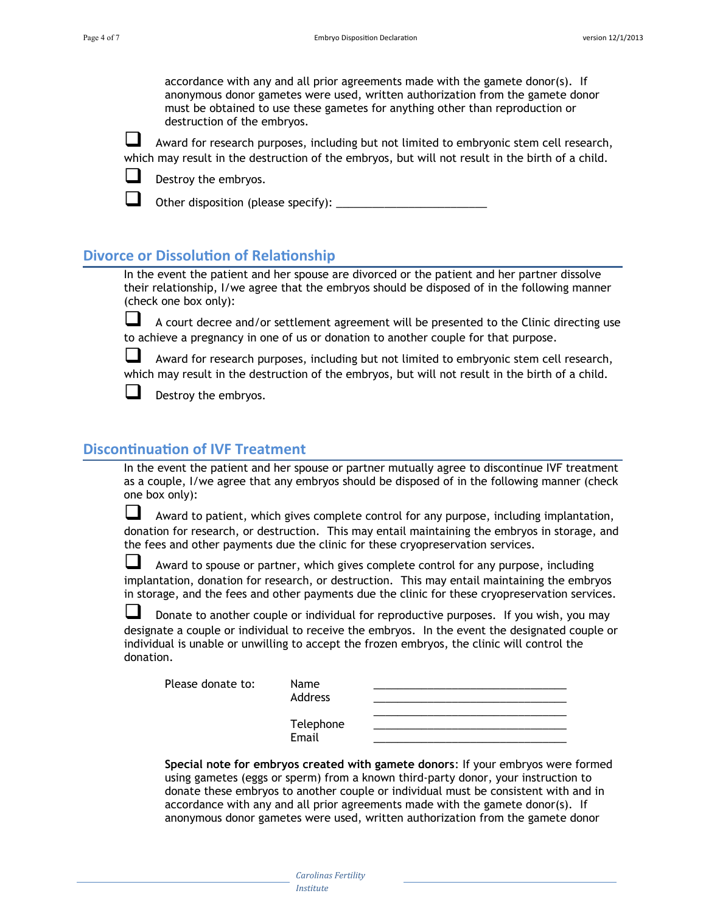accordance with any and all prior agreements made with the gamete donor(s). If anonymous donor gametes were used, written authorization from the gamete donor must be obtained to use these gametes for anything other than reproduction or destruction of the embryos.

 Award for research purposes, including but not limited to embryonic stem cell research, which may result in the destruction of the embryos, but will not result in the birth of a child.



Destroy the embryos.

Other disposition (please specify): \_\_\_\_\_\_\_\_\_\_\_\_\_\_\_\_\_\_\_\_\_\_\_\_\_

#### **Divorce or Dissolution of Relationship**

In the event the patient and her spouse are divorced or the patient and her partner dissolve their relationship, I/we agree that the embryos should be disposed of in the following manner (check one box only):

 A court decree and/or settlement agreement will be presented to the Clinic directing use to achieve a pregnancy in one of us or donation to another couple for that purpose.

 Award for research purposes, including but not limited to embryonic stem cell research, which may result in the destruction of the embryos, but will not result in the birth of a child.



Destroy the embryos.

#### **Discontinuation of IVF Treatment**

In the event the patient and her spouse or partner mutually agree to discontinue IVF treatment as a couple, I/we agree that any embryos should be disposed of in the following manner (check one box only):

 Award to patient, which gives complete control for any purpose, including implantation, donation for research, or destruction. This may entail maintaining the embryos in storage, and the fees and other payments due the clinic for these cryopreservation services.

 $\Box$  Award to spouse or partner, which gives complete control for any purpose, including implantation, donation for research, or destruction. This may entail maintaining the embryos in storage, and the fees and other payments due the clinic for these cryopreservation services.

 Donate to another couple or individual for reproductive purposes. If you wish, you may designate a couple or individual to receive the embryos. In the event the designated couple or individual is unable or unwilling to accept the frozen embryos, the clinic will control the donation.

| Please donate to: |  |
|-------------------|--|
|-------------------|--|

| Please donate to: | Name<br>Address    |  |
|-------------------|--------------------|--|
|                   | Telephone<br>Email |  |

**Special note for embryos created with gamete donors**: If your embryos were formed using gametes (eggs or sperm) from a known third-party donor, your instruction to donate these embryos to another couple or individual must be consistent with and in accordance with any and all prior agreements made with the gamete donor(s). If anonymous donor gametes were used, written authorization from the gamete donor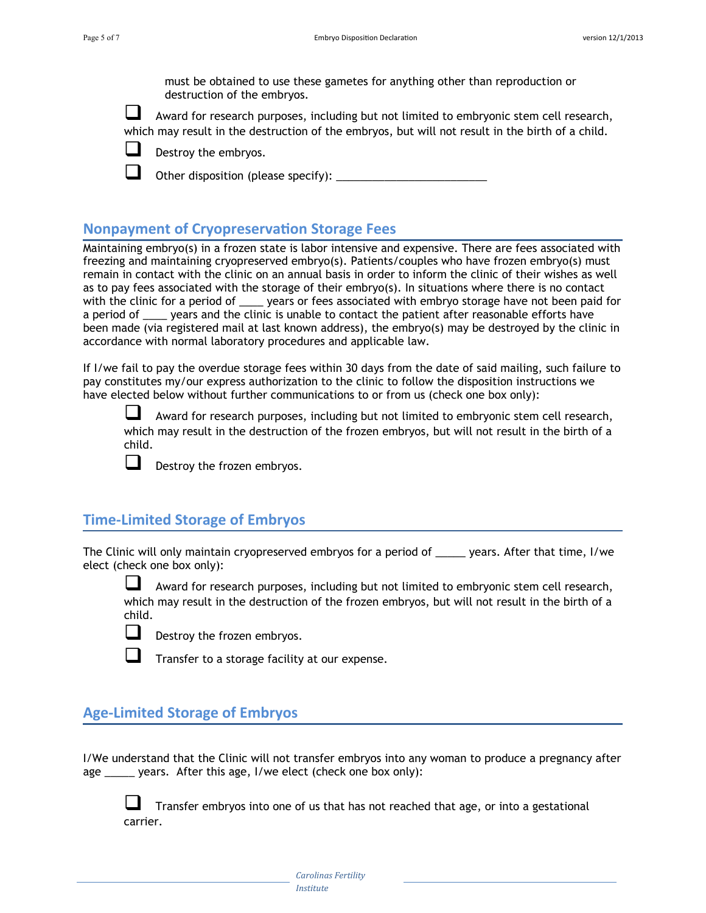must be obtained to use these gametes for anything other than reproduction or destruction of the embryos.

 Award for research purposes, including but not limited to embryonic stem cell research, which may result in the destruction of the embryos, but will not result in the birth of a child.

Destroy the embryos.

Other disposition (please specify): \_\_\_\_\_\_\_\_\_\_\_\_\_\_\_\_\_\_\_\_\_\_\_\_\_

## **Nonpayment of Cryopreservation Storage Fees**

Maintaining embryo(s) in a frozen state is labor intensive and expensive. There are fees associated with freezing and maintaining cryopreserved embryo(s). Patients/couples who have frozen embryo(s) must remain in contact with the clinic on an annual basis in order to inform the clinic of their wishes as well as to pay fees associated with the storage of their embryo(s). In situations where there is no contact with the clinic for a period of \_\_\_\_\_ years or fees associated with embryo storage have not been paid for a period of \_\_\_\_ years and the clinic is unable to contact the patient after reasonable efforts have been made (via registered mail at last known address), the embryo(s) may be destroyed by the clinic in accordance with normal laboratory procedures and applicable law.

If I/we fail to pay the overdue storage fees within 30 days from the date of said mailing, such failure to pay constitutes my/our express authorization to the clinic to follow the disposition instructions we have elected below without further communications to or from us (check one box only):

 Award for research purposes, including but not limited to embryonic stem cell research, which may result in the destruction of the frozen embryos, but will not result in the birth of a child.



Destroy the frozen embryos.

## **Time-Limited Storage of Embryos**

The Clinic will only maintain cryopreserved embryos for a period of \_\_\_\_\_ years. After that time, I/we elect (check one box only):

 Award for research purposes, including but not limited to embryonic stem cell research, which may result in the destruction of the frozen embryos, but will not result in the birth of a child.



Destroy the frozen embryos.



Transfer to a storage facility at our expense.

## **Age-Limited Storage of Embryos**

I/We understand that the Clinic will not transfer embryos into any woman to produce a pregnancy after age \_\_\_\_\_ years. After this age, I/we elect (check one box only):

 Transfer embryos into one of us that has not reached that age, or into a gestational carrier.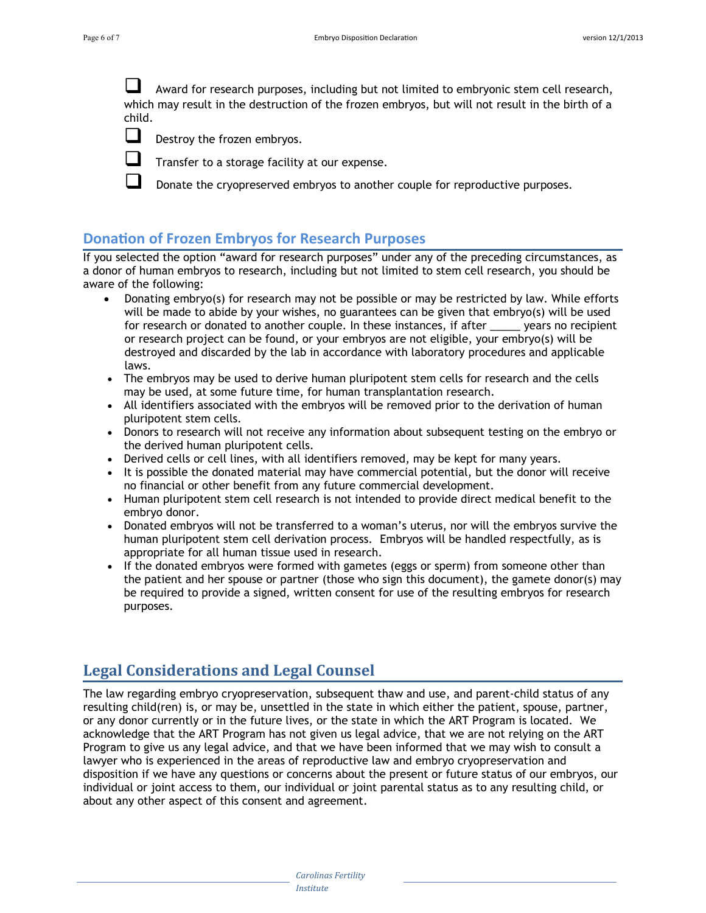Award for research purposes, including but not limited to embryonic stem cell research, which may result in the destruction of the frozen embryos, but will not result in the birth of a child.



 $\Box$  Destroy the frozen embryos.



 $\Box$  Transfer to a storage facility at our expense.

 $\Box$  Donate the cryopreserved embryos to another couple for reproductive purposes.

## **Donation of Frozen Embryos for Research Purposes**

If you selected the option "award for research purposes" under any of the preceding circumstances, as a donor of human embryos to research, including but not limited to stem cell research, you should be aware of the following:

- Donating embryo(s) for research may not be possible or may be restricted by law. While efforts will be made to abide by your wishes, no guarantees can be given that embryo(s) will be used<br>for research or donated to another couple. In these instances, if after vears no recipient for research or donated to another couple. In these instances, if after or research project can be found, or your embryos are not eligible, your embryo(s) will be destroyed and discarded by the lab in accordance with laboratory procedures and applicable laws.
- The embryos may be used to derive human pluripotent stem cells for research and the cells may be used, at some future time, for human transplantation research.
- All identifiers associated with the embryos will be removed prior to the derivation of human pluripotent stem cells.
- Donors to research will not receive any information about subsequent testing on the embryo or the derived human pluripotent cells.
- Derived cells or cell lines, with all identifiers removed, may be kept for many years.
- It is possible the donated material may have commercial potential, but the donor will receive no financial or other benefit from any future commercial development.
- Human pluripotent stem cell research is not intended to provide direct medical benefit to the embryo donor.
- Donated embryos will not be transferred to a woman's uterus, nor will the embryos survive the human pluripotent stem cell derivation process. Embryos will be handled respectfully, as is appropriate for all human tissue used in research.
- If the donated embryos were formed with gametes (eggs or sperm) from someone other than the patient and her spouse or partner (those who sign this document), the gamete donor(s) may be required to provide a signed, written consent for use of the resulting embryos for research purposes.

## **Legal Considerations and Legal Counsel**

The law regarding embryo cryopreservation, subsequent thaw and use, and parent-child status of any resulting child(ren) is, or may be, unsettled in the state in which either the patient, spouse, partner, or any donor currently or in the future lives, or the state in which the ART Program is located. We acknowledge that the ART Program has not given us legal advice, that we are not relying on the ART Program to give us any legal advice, and that we have been informed that we may wish to consult a lawyer who is experienced in the areas of reproductive law and embryo cryopreservation and disposition if we have any questions or concerns about the present or future status of our embryos, our individual or joint access to them, our individual or joint parental status as to any resulting child, or about any other aspect of this consent and agreement.